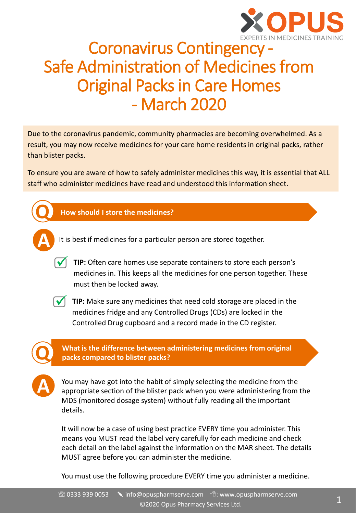

### Coronavirus Contingency - Safe Administration of Medicines from Original Packs in Care Homes - March 2020

Due to the coronavirus pandemic, community pharmacies are becoming overwhelmed. As a result, you may now receive medicines for your care home residents in original packs, rather than blister packs.

To ensure you are aware of how to safely administer medicines this way, it is essential that ALL staff who administer medicines have read and understood this information sheet.



**A** It is best if medicines for a particular person are stored together.

**√** TIP: Often care homes use separate containers to store each person's medicines in. This keeps all the medicines for one person together. These must then be locked away.



◯ TIP: Make sure any medicines that need cold storage are placed in the medicines fridge and any Controlled Drugs (CDs) are locked in the Controlled Drug cupboard and a record made in the CD register.



**A**

**What is the difference between administering medicines from original Q packs compared to blister packs?**

You may have got into the habit of simply selecting the medicine from the appropriate section of the blister pack when you were administering from the MDS (monitored dosage system) without fully reading all the important details.

It will now be a case of using best practice EVERY time you administer. This means you MUST read the label very carefully for each medicine and check each detail on the label against the information on the MAR sheet. The details MUST agree before you can administer the medicine.

You must use the following procedure EVERY time you administer a medicine.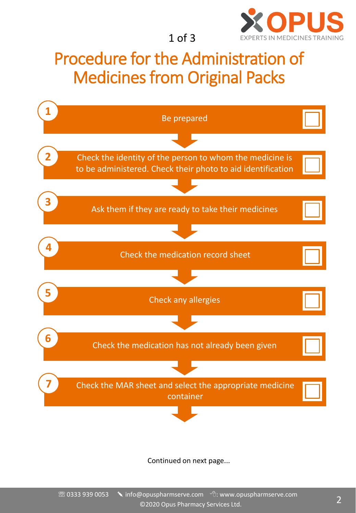

1 of 3

### Procedure for the Administration of Medicines from Original Packs



Continued on next page...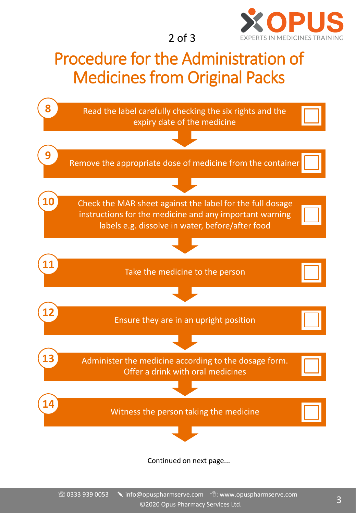

2 of 3

## Procedure for the Administration of Medicines from Original Packs



Continued on next page...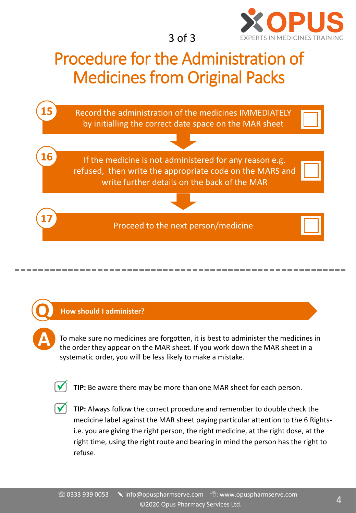

3 of 3

## Procedure for the Administration of Medicines from Original Packs



#### **Q How should I administer?**

To make sure no medicines are forgotten, it is best to administer the medicines in the order they appear on the MAR sheet. If you work down the MAR sheet in a systematic order, you will be less likely to make a mistake.



**A**

TIP: Be aware there may be more than one MAR sheet for each person.

**√** TIP: Always follow the correct procedure and remember to double check the medicine label against the MAR sheet paying particular attention to the 6 Rightsi.e. you are giving the right person, the right medicine, at the right dose, at the right time, using the right route and bearing in mind the person has the right to refuse.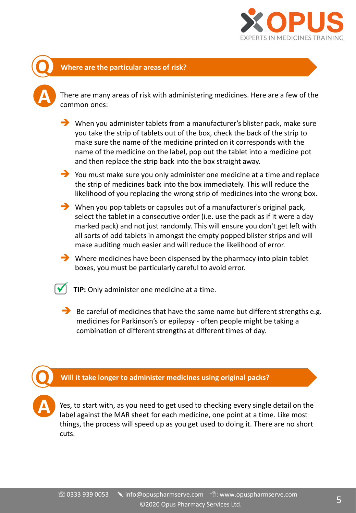

#### **Q Where are the particular areas of risk?**

**A**

**A**

There are many areas of risk with administering medicines. Here are a few of the common ones:

➔ When you administer tablets from a manufacturer's blister pack, make sure you take the strip of tablets out of the box, check the back of the strip to make sure the name of the medicine printed on it corresponds with the name of the medicine on the label, pop out the tablet into a medicine pot and then replace the strip back into the box straight away.

➔ You must make sure you only administer one medicine at a time and replace the strip of medicines back into the box immediately. This will reduce the likelihood of you replacing the wrong strip of medicines into the wrong box.

➔ When you pop tablets or capsules out of a manufacturer's original pack, select the tablet in a consecutive order (i.e. use the pack as if it were a day marked pack) and not just randomly. This will ensure you don't get left with all sorts of odd tablets in amongst the empty popped blister strips and will make auditing much easier and will reduce the likelihood of error.

 $\rightarrow$  Where medicines have been dispensed by the pharmacy into plain tablet boxes, you must be particularly careful to avoid error.

TIP: Only administer one medicine at a time.

 $\rightarrow$  Be careful of medicines that have the same name but different strengths e.g. medicines for Parkinson's or epilepsy - often people might be taking a combination of different strengths at different times of day.

**Q Will it take longer to administer medicines using original packs?**

Yes, to start with, as you need to get used to checking every single detail on the label against the MAR sheet for each medicine, one point at a time. Like most things, the process will speed up as you get used to doing it. There are no short cuts.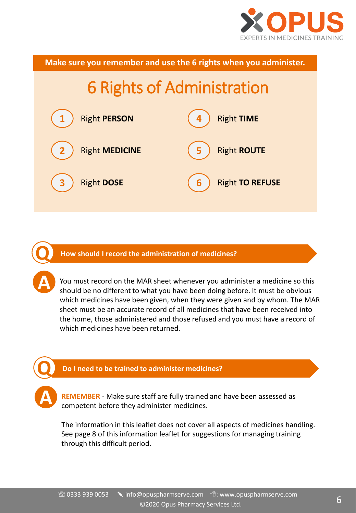

6 Rights of Administration Right **PERSON** Right **MEDICINE** Right **DOSE** Right **TIME** Right **ROUTE** Right **TO REFUSE Make sure you remember and use the 6 rights when you administer.**

**Q How should I record the administration of medicines?**

**A**

**A**

You must record on the MAR sheet whenever you administer a medicine so this should be no different to what you have been doing before. It must be obvious which medicines have been given, when they were given and by whom. The MAR sheet must be an accurate record of all medicines that have been received into the home, those administered and those refused and you must have a record of which medicines have been returned.

#### **Q Do I need to be trained to administer medicines?**

**REMEMBER** - Make sure staff are fully trained and have been assessed as competent before they administer medicines.

The information in this leaflet does not cover all aspects of medicines handling. See page 8 of this information leaflet for suggestions for managing training through this difficult period.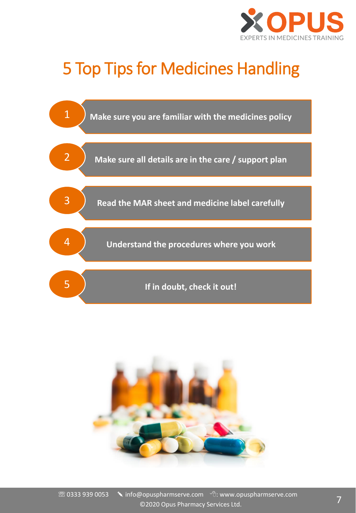

# 5 Top Tips for Medicines Handling